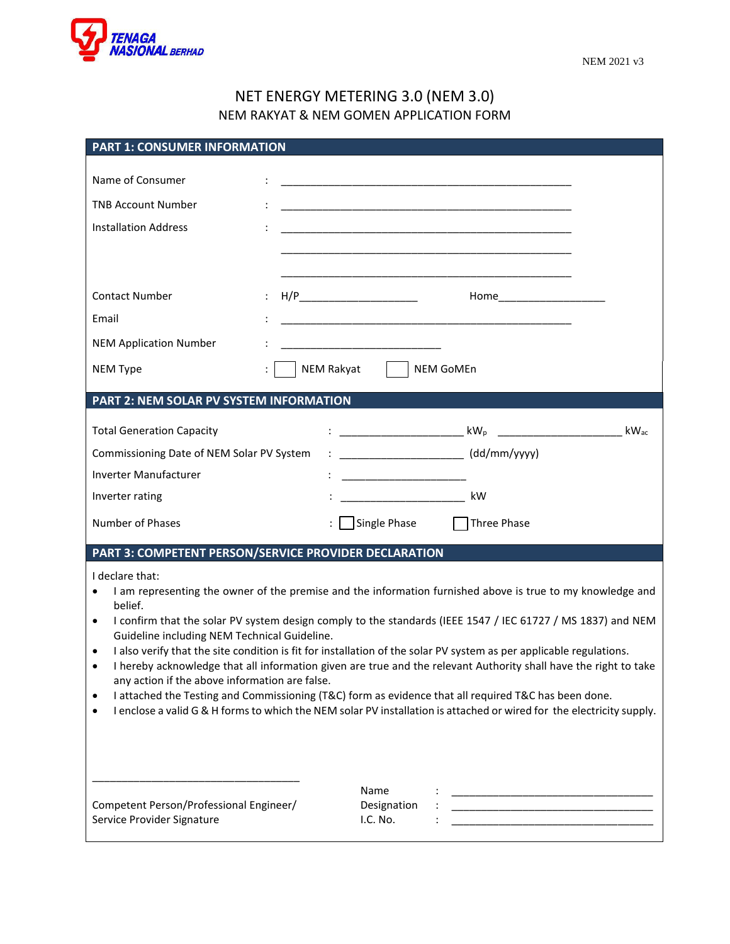

## NET ENERGY METERING 3.0 (NEM 3.0) NEM RAKYAT & NEM GOMEN APPLICATION FORM

| <b>PART 1: CONSUMER INFORMATION</b>                                                                                                                                                                                                                                                                                                                                                                                                                                                                                                                                                                                                                                                                                                                                                                                                                                          |                                                                                                                                                                                                                                                |
|------------------------------------------------------------------------------------------------------------------------------------------------------------------------------------------------------------------------------------------------------------------------------------------------------------------------------------------------------------------------------------------------------------------------------------------------------------------------------------------------------------------------------------------------------------------------------------------------------------------------------------------------------------------------------------------------------------------------------------------------------------------------------------------------------------------------------------------------------------------------------|------------------------------------------------------------------------------------------------------------------------------------------------------------------------------------------------------------------------------------------------|
| Name of Consumer<br><b>TNB Account Number</b><br><b>Installation Address</b>                                                                                                                                                                                                                                                                                                                                                                                                                                                                                                                                                                                                                                                                                                                                                                                                 | <u> 1989 - Johann Harry Barn, mars ar yw i ganrif y cynnwys y cynnwys y cynnwys y cynnwys y cynnwys y cynnwys y c</u><br><u> 1988 - Johann Harry Harry Harry Harry Harry Harry Harry Harry Harry Harry Harry Harry Harry Harry Harry Harry</u> |
| <b>Contact Number</b>                                                                                                                                                                                                                                                                                                                                                                                                                                                                                                                                                                                                                                                                                                                                                                                                                                                        | H/P_________________________                                                                                                                                                                                                                   |
| Email                                                                                                                                                                                                                                                                                                                                                                                                                                                                                                                                                                                                                                                                                                                                                                                                                                                                        |                                                                                                                                                                                                                                                |
| <b>NEM Application Number</b>                                                                                                                                                                                                                                                                                                                                                                                                                                                                                                                                                                                                                                                                                                                                                                                                                                                | <u> 1989 - Johann John Stone, mars eta bainar eta industrial eta erromana eta erromana eta erromana eta erromana</u>                                                                                                                           |
| NEM Type                                                                                                                                                                                                                                                                                                                                                                                                                                                                                                                                                                                                                                                                                                                                                                                                                                                                     | NEM Rakyat<br><b>NEM GoMEn</b>                                                                                                                                                                                                                 |
| PART 2: NEM SOLAR PV SYSTEM INFORMATION                                                                                                                                                                                                                                                                                                                                                                                                                                                                                                                                                                                                                                                                                                                                                                                                                                      |                                                                                                                                                                                                                                                |
| <b>Total Generation Capacity</b>                                                                                                                                                                                                                                                                                                                                                                                                                                                                                                                                                                                                                                                                                                                                                                                                                                             |                                                                                                                                                                                                                                                |
| Commissioning Date of NEM Solar PV System                                                                                                                                                                                                                                                                                                                                                                                                                                                                                                                                                                                                                                                                                                                                                                                                                                    | (dd/mm/yyyy)                                                                                                                                                                                                                                   |
| Inverter Manufacturer                                                                                                                                                                                                                                                                                                                                                                                                                                                                                                                                                                                                                                                                                                                                                                                                                                                        |                                                                                                                                                                                                                                                |
| Inverter rating                                                                                                                                                                                                                                                                                                                                                                                                                                                                                                                                                                                                                                                                                                                                                                                                                                                              | _________________________________ kW                                                                                                                                                                                                           |
| Number of Phases                                                                                                                                                                                                                                                                                                                                                                                                                                                                                                                                                                                                                                                                                                                                                                                                                                                             | Single Phase<br>$\Box$ Three Phase                                                                                                                                                                                                             |
|                                                                                                                                                                                                                                                                                                                                                                                                                                                                                                                                                                                                                                                                                                                                                                                                                                                                              | PART 3: COMPETENT PERSON/SERVICE PROVIDER DECLARATION                                                                                                                                                                                          |
| I declare that:<br>I am representing the owner of the premise and the information furnished above is true to my knowledge and<br>belief.<br>I confirm that the solar PV system design comply to the standards (IEEE 1547 / IEC 61727 / MS 1837) and NEM<br>$\bullet$<br>Guideline including NEM Technical Guideline.<br>I also verify that the site condition is fit for installation of the solar PV system as per applicable regulations.<br>$\bullet$<br>I hereby acknowledge that all information given are true and the relevant Authority shall have the right to take<br>$\bullet$<br>any action if the above information are false.<br>I attached the Testing and Commissioning (T&C) form as evidence that all required T&C has been done.<br>I enclose a valid G & H forms to which the NEM solar PV installation is attached or wired for the electricity supply. |                                                                                                                                                                                                                                                |
| Competent Person/Professional Engineer/<br>Service Provider Signature                                                                                                                                                                                                                                                                                                                                                                                                                                                                                                                                                                                                                                                                                                                                                                                                        | Name<br>Designation<br>I.C. No.                                                                                                                                                                                                                |